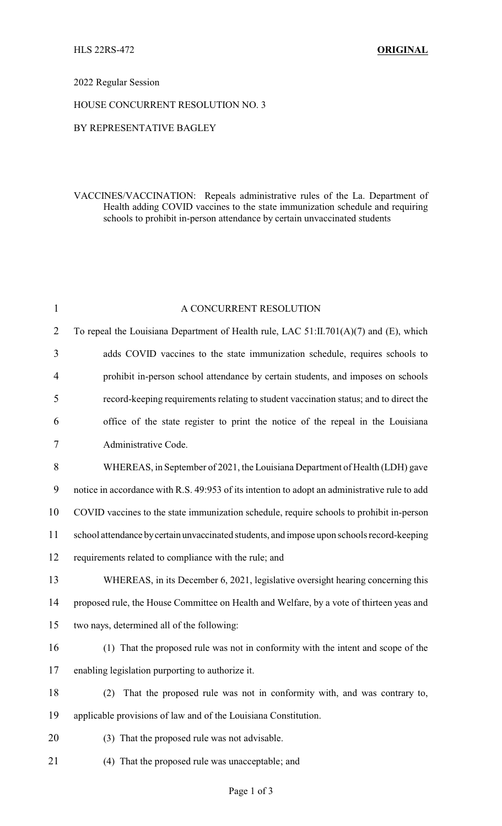### 2022 Regular Session

### HOUSE CONCURRENT RESOLUTION NO. 3

# BY REPRESENTATIVE BAGLEY

# VACCINES/VACCINATION: Repeals administrative rules of the La. Department of Health adding COVID vaccines to the state immunization schedule and requiring schools to prohibit in-person attendance by certain unvaccinated students

| $\mathbf{1}$   | A CONCURRENT RESOLUTION                                                                       |
|----------------|-----------------------------------------------------------------------------------------------|
| $\overline{2}$ | To repeal the Louisiana Department of Health rule, LAC 51:II.701(A)(7) and (E), which         |
| 3              | adds COVID vaccines to the state immunization schedule, requires schools to                   |
| $\overline{4}$ | prohibit in-person school attendance by certain students, and imposes on schools              |
| 5              | record-keeping requirements relating to student vaccination status; and to direct the         |
| 6              | office of the state register to print the notice of the repeal in the Louisiana               |
| 7              | Administrative Code.                                                                          |
| 8              | WHEREAS, in September of 2021, the Louisiana Department of Health (LDH) gave                  |
| 9              | notice in accordance with R.S. 49:953 of its intention to adopt an administrative rule to add |
| 10             | COVID vaccines to the state immunization schedule, require schools to prohibit in-person      |
| 11             | school attendance by certain unvaccinated students, and impose upon schools record-keeping    |
| 12             | requirements related to compliance with the rule; and                                         |
| 13             | WHEREAS, in its December 6, 2021, legislative oversight hearing concerning this               |
| 14             | proposed rule, the House Committee on Health and Welfare, by a vote of thirteen yeas and      |
| 15             | two nays, determined all of the following:                                                    |
| 16             | (1) That the proposed rule was not in conformity with the intent and scope of the             |
| 17             | enabling legislation purporting to authorize it.                                              |
| 18             | That the proposed rule was not in conformity with, and was contrary to,<br>(2)                |
| 19             | applicable provisions of law and of the Louisiana Constitution.                               |
| 20             | (3) That the proposed rule was not advisable.                                                 |
| 21             | (4) That the proposed rule was unacceptable; and                                              |
|                |                                                                                               |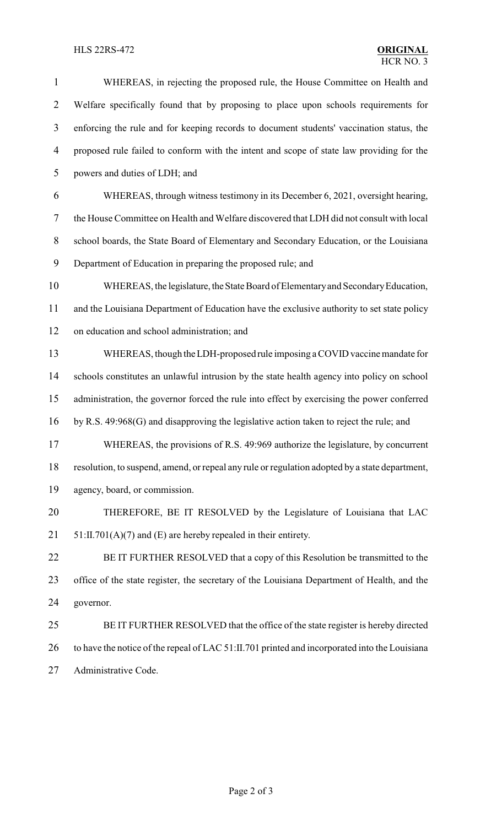# **HLS 22RS-472**

| $\mathbf{1}$     | WHEREAS, in rejecting the proposed rule, the House Committee on Health and                     |
|------------------|------------------------------------------------------------------------------------------------|
| $\overline{2}$   | Welfare specifically found that by proposing to place upon schools requirements for            |
| $\mathfrak{Z}$   | enforcing the rule and for keeping records to document students' vaccination status, the       |
| 4                | proposed rule failed to conform with the intent and scope of state law providing for the       |
| 5                | powers and duties of LDH; and                                                                  |
| 6                | WHEREAS, through witness testimony in its December 6, 2021, oversight hearing,                 |
| 7                | the House Committee on Health and Welfare discovered that LDH did not consult with local       |
| $8\,$            | school boards, the State Board of Elementary and Secondary Education, or the Louisiana         |
| $\boldsymbol{9}$ | Department of Education in preparing the proposed rule; and                                    |
| 10               | WHEREAS, the legislature, the State Board of Elementary and Secondary Education,               |
| 11               | and the Louisiana Department of Education have the exclusive authority to set state policy     |
| 12               | on education and school administration; and                                                    |
| 13               | WHEREAS, though the LDH-proposed rule imposing a COVID vaccine mandate for                     |
| 14               | schools constitutes an unlawful intrusion by the state health agency into policy on school     |
| 15               | administration, the governor forced the rule into effect by exercising the power conferred     |
| 16               | by R.S. 49:968(G) and disapproving the legislative action taken to reject the rule; and        |
| 17               | WHEREAS, the provisions of R.S. 49:969 authorize the legislature, by concurrent                |
| 18               | resolution, to suspend, amend, or repeal any rule or regulation adopted by a state department, |
| 19               | agency, board, or commission.                                                                  |
| 20               | THEREFORE, BE IT RESOLVED by the Legislature of Louisiana that LAC                             |
| 21               | $51:II.701(A)(7)$ and (E) are hereby repealed in their entirety.                               |
| 22               | BE IT FURTHER RESOLVED that a copy of this Resolution be transmitted to the                    |
| 23               | office of the state register, the secretary of the Louisiana Department of Health, and the     |
| 24               | governor.                                                                                      |
| 25               | BE IT FURTHER RESOLVED that the office of the state register is hereby directed                |
| 26               | to have the notice of the repeal of LAC 51:II.701 printed and incorporated into the Louisiana  |
| 27               | Administrative Code.                                                                           |